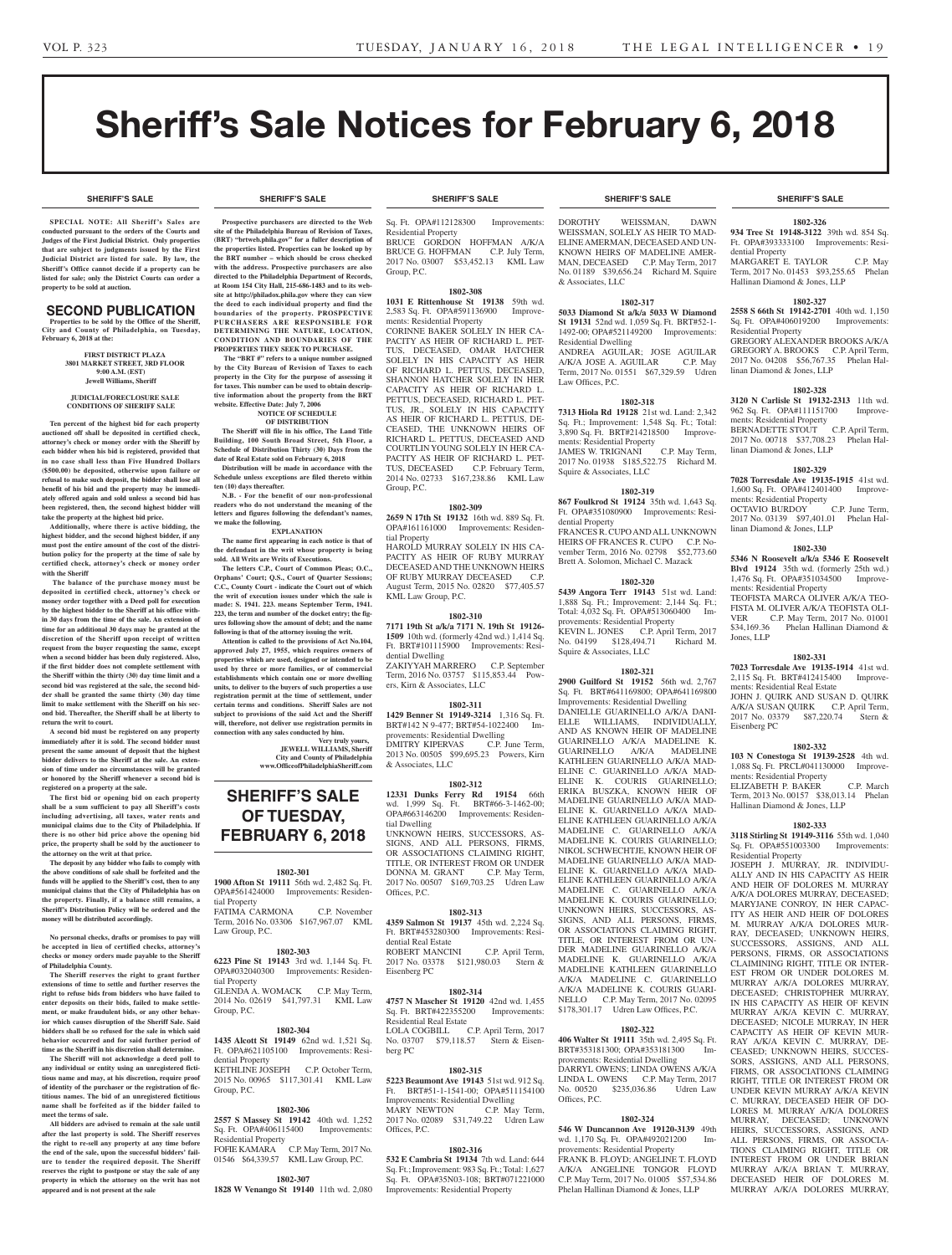**SHERIFF'S SALE SHERIFF'S SALE SHERIFF'S SALE SHERIFF'S SALE SHERIFF'S SALE**

# Sheriff's Sale Notices for February 6, 2018

#### **SHERIFF'S SALE SHERIFF'S SALE SHERIFF'S SALE SHERIFF'S SALE SHERIFF'S SALE**

**SPECIAL NOTE: All Sheriff 's Sales are conducted pursuant to the orders of the Courts and Judges of the First Judicial District. Only properties that are subject to judgments issued by the First Judicial District are listed for sale. By law, the Sheriff's Office cannot decide if a property can be listed for sale; only the District Courts can order a property to be sold at auction.** 

# SECOND PUBLICATION

**Properties to be sold by the Office of the Sheriff, City and County of Philadelphia, on Tuesday, February 6, 2018 at the:** 

> **FIRST DISTRICT PLAZA 3801 MARKET STREET, 3RD FLOOR 9:00 A.M. (EST) Jewell Williams, Sheriff**

#### **JUDICIAL/FORECLOSURE SALE CONDITIONS OF SHERIFF SALE**

**Ten percent of the highest bid for each property auctioned off shall be deposited in certified check, attorney's check or money order with the Sheriff by each bidder when his bid is registered, provided that in no case shall less than Five Hundred Dollars (\$500.00) be deposited, otherwise upon failure or refusal to make such deposit, the bidder shall lose all benefit of his bid and the property may be immediately offered again and sold unless a second bid has been registered, then, the second highest bidder will take the property at the highest bid price.**

**Additionally, where there is active bidding, the highest bidder, and the second highest bidder, if any must post the entire amount of the cost of the distribution policy for the property at the time of sale by certified check, attorney's check or money order with the Sheriff**

 **The balance of the purchase money must be deposited in certified check, attorney's check or money order together with a Deed poll for execution by the highest bidder to the Sheriff at his office within 30 days from the time of the sale. An extension of time for an additional 30 days may be granted at the discretion of the Sheriff upon receipt of written request from the buyer requesting the same, except when a second bidder has been duly registered. Also, if the first bidder does not complete settlement with the Sheriff within the thirty (30) day time limit and a second bid was registered at the sale, the second bidder shall be granted the same thirty (30) day time limit to make settlement with the Sheriff on his second bid. Thereafter, the Sheriff shall be at liberty to return the writ to court.**

**A second bid must be registered on any property immediately after it is sold. The second bidder must present the same amount of deposit that the highest bidder delivers to the Sheriff at the sale. An extension of time under no circumstances will be granted or honored by the Sheriff whenever a second bid is registered on a property at the sale.** 

**The first bid or opening bid on each property shall be a sum sufficient to pay all Sheriff's costs including advertising, all taxes, water rents and municipal claims due to the City of Philadelphia. If there is no other bid price above the opening bid price, the property shall be sold by the auctioneer to the attorney on the writ at that price.**

**The deposit by any bidder who fails to comply with the above conditions of sale shall be forfeited and the funds will be applied to the Sheriff's cost, then to any municipal claims that the City of Philadelphia has on the property. Finally, if a balance still remains, a Sheriff's Distribution Policy will be ordered and the money will be distributed accordingly.**

**No personal checks, drafts or promises to pay will be accepted in lieu of certified checks, attorney's checks or money orders made payable to the Sheriff of Philadelphia County.**

**The Sheriff reserves the right to grant further extensions of time to settle and further reserves the right to refuse bids from bidders who have failed to enter deposits on their bids, failed to make settlement, or make fraudulent bids, or any other behavior which causes disruption of the Sheriff Sale. Said bidders shall be so refused for the sale in which said behavior occurred and for said further period of time as the Sheriff in his discretion shall determine.**

**The Sheriff will not acknowledge a deed poll to any individual or entity using an unregistered fictitious name and may, at his discretion, require proof of identity of the purchaser or the registration of fictitious names. The bid of an unregistered fictitious name shall be forfeited as if the bidder failed to meet the terms of sale.**

**All bidders are advised to remain at the sale until after the last property is sold. The Sheriff reserves the right to re-sell any property at any time before the end of the sale, upon the successful bidders' failure to tender the required deposit. The Sheriff reserves the right to postpone or stay the sale of any property in which the attorney on the writ has not appeared and is not present at the sale**

**Prospective purchasers are directed to the Web** 

**site of the Philadelphia Bureau of Revision of Taxes, (BRT) "brtweb.phila.gov" for a fuller description of the properties listed. Properties can be looked up by the BRT number – which should be cross checked with the address. Prospective purchasers are also directed to the Philadelphia Department of Records, at Room 154 City Hall, 215-686-1483 and to its website at http://philadox.phila.gov where they can view the deed to each individual property and find the boundaries of the property. PROSPECTIVE PURCHASERS ARE RESPONSIBLE FOR DETERMINING THE NATURE, LOCATION, CONDITION AND BOUNDARIES OF THE PROPERTIES THEY SEEK TO PURCHASE.**

 **The "BRT #" refers to a unique number assigned by the City Bureau of Revision of Taxes to each property in the City for the purpose of assessing it for taxes. This number can be used to obtain descriptive information about the property from the BRT website. Effective Date: July 7, 2006**

#### **NOTICE OF SCHEDULE OF DISTRIBUTION**

**The Sheriff will file in his office, The Land Title Building, 100 South Broad Street, 5th Floor, a Schedule of Distribution Thirty (30) Days from the date of Real Estate sold on February 6, 2018**

**Distribution will be made in accordance with the Schedule unless exceptions are filed thereto within ten (10) days thereafter.**

**N.B. - For the benefit of our non-professional readers who do not understand the meaning of the letters and figures following the defendant's names, we make the following.**

**EXPLANATION**

**The name first appearing in each notice is that of the defendant in the writ whose property is being sold. All Writs are Writs of Executions.**

**The letters C.P., Court of Common Pleas; O.C., Orphans' Court; Q.S., Court of Quarter Sessions; C.C., County Court - indicate the Court out of which the writ of execution issues under which the sale is made: S. 1941. 223. means September Term, 1941. 223, the term and number of the docket entry; the figures following show the amount of debt; and the name following is that of the attorney issuing the writ.**

**Attention is called to the provisions of Act No.104, approved July 27, 1955, which requires owners of properties which are used, designed or intended to be used by three or more families, or of commercial establishments which contain one or more dwelling units, to deliver to the buyers of such properties a use registration permit at the time of settlement, under certain terms and conditions. Sheriff Sales are not**  subject to provisions of the said Act and the Sheriff **will, therefore, not deliver use registration permits in connection with any sales conducted by him.**

#### **Very truly yours, JEWELL WILLIAMS, Sheriff**

**City and County of Philadelphia www.OfficeofPhiladelphiaSheriff.com**

# **SHERIFF'S SALE OF TUESDAY, FEBRUARY 6, 2018**

**1802-301**

**1900 Afton St 19111** 56th wd. 2,482 Sq. Ft. OPA#561424000 Improvements: Residential Property FATIMA CARMONA C.P. November Term, 2016 No. 03306 \$167,967.07 KML Law Group, P.C.

# **1802-303**

**6223 Pine St 19143** 3rd wd. 1,144 Sq. Ft. OPA#032040300 Improvements: Residential Property GLENDA A. WOMACK C.P. May Term,

2014 No. 02619 \$41,797.31 KML Law Group, P.C.

#### **1802-304**

**1435 Alcott St 19149** 62nd wd. 1,521 Sq. Ft. OPA#621105100 Improvements: Residential Property KETHLINE JOSEPH C.P. October Term, 2015 No. 00965 \$117,301.41 KML Law Group, P.C.

### **1802-306**

**2557 S Massey St 19142** 40th wd. 1,252 Sq. Ft. OPA#406115400 Improvements: Residential Property FOFIE KAMARA C.P. May Term, 2017 No.

01546 \$64,339.57 KML Law Group, P.C.

### **1802-307**

**1828 W Venango St 19140** 11th wd. 2,080

Sq. Ft. OPA#112128300 Improvements: Residential Property BRUCE GORDON HOFFMAN A/K/A BRUCE G. HOFFMAN C.P. July Term, 2017 No. 03007 \$53,452.13 KML Law Group, P.C.

#### **1802-308**

**1031 E Rittenhouse St 19138** 59th wd. 2,583 Sq. Ft. OPA#591136900 Improvements: Residential Property

CORINNE BAKER SOLELY IN HER CA-PACITY AS HEIR OF RICHARD L. PET-TUS, DECEASED, OMAR HATCHER SOLELY IN HIS CAPACITY AS HEIR OF RICHARD L. PETTUS, DECEASED, SHANNON HATCHER SOLELY IN HER CAPACITY AS HEIR OF RICHARD L. PETTUS, DECEASED, RICHARD L. PET-TUS, JR., SOLELY IN HIS CAPACITY AS HEIR OF RICHARD L. PETTUS, DE-CEASED, THE UNKNOWN HEIRS OF RICHARD L. PETTUS, DECEASED AND COURTLIN YOUNG SOLELY IN HER CA-PACITY AS HEIR OF RICHARD L. PET-<br>TUS DECEASED CP February Term C.P. February Term, 2014 No. 02733 \$167,238.86 KML Law Group, P.C.

### **1802-309**

**2659 N 17th St 19132** 16th wd. 889 Sq. Ft. OPA#161161000 Improvements: Residential Property

HAROLD MURRAY SOLELY IN HIS CA-PACITY AS HEIR OF RUBY MURRAY DECEASED AND THE UNKNOWN HEIRS OF RUBY MURRAY DECEASED C.P. August Term, 2015 No. 02820 \$77,405.57 KML Law Group, P.C.

### **1802-310**

**7171 19th St a/k/a 7171 N. 19th St 19126- 1509** 10th wd. (formerly 42nd wd.) 1,414 Sq. Ft. BRT#101115900 Improvements: Residential Dwelling

ZAKIYYAH MARRERO C.P. September Term, 2016 No. 03757 \$115,853.44 Powers, Kirn & Associates, LLC

#### **1802-311**

**1429 Benner St 19149-3214** 1,316 Sq. Ft. BRT#142 N 9-477; BRT#54-1022400 Improvements: Residential Dwelling DMITRY KIPERVAS C.P. June Term, 2013 No. 00505 \$99,695.23 Powers, Kirn & Associates, LLC

#### **1802-312**

**12331 Dunks Ferry Rd 19154** 66th wd. 1,999 Sq. Ft. BRT#66-3-1462-00; OPA#663146200 Improvements: Residential Dwelling UNKNOWN HEIRS, SUCCESSORS, AS-SIGNS, AND ALL PERSONS, FIRMS, OR ASSOCIATIONS CLAIMING RIGHT, TITLE, OR INTEREST FROM OR UNDER DONNA M. GRANT C.P. May Term, 2017 No. 00507 \$169,703.25 Udren Law

#### **1802-313**

Offices, P.C.

Eisenberg PC

**4359 Salmon St 19137** 45th wd. 2,224 Sq. Ft. BRT#453280300 Improvements: Residential Real Estate ROBERT MANCINI C.P. April Term,<br>2017 No. 03378 \$121,980.03 Stern & 2017 No. 03378 \$121,980.03 Stern &

# **1802-314**

**4757 N Mascher St 19120** 42nd wd. 1,455 Sq. Ft. BRT#422355200 Improvements: Residential Real Estate LOLA COGBILL C.P. April Term, 2017 No. 03707 \$79,118.57 Stern & Eisenberg PC

#### **1802-315**

**5223 Beaumont Ave 19143** 51st wd. 912 Sq. Ft. BRT#51-1-1541-00; OPA#511154100 Improvements: Residential Dwelling<br>MARY NEWTON C.P. May Term. MARY NEWTON 2017 No. 02089 \$31,749.22 Udren Law Offices, P.C.

# **1802-316**

**532 E Cambria St 19134** 7th wd. Land: 644 Sq. Ft.; Improvement: 983 Sq. Ft.; Total: 1,627 Sq. Ft. OPA#35N03-108; BRT#071221000 Improvements: Residential Property

DOROTHY WEISSMAN, DAWN WEISSMAN, SOLELY AS HEIR TO MAD-ELINE AMERMAN, DECEASED AND UN-KNOWN HEIRS OF MADELINE AMER-MAN, DECEASED C.P. May Term, 2017 No. 01189 \$39,656.24 Richard M. Squire & Associates, LLC

#### **1802-317**

**5033 Diamond St a/k/a 5033 W Diamond St 19131** 52nd wd. 1,059 Sq. Ft. BRT#52-1- 1492-00; OPA#521149200 Improvements: Residential Dwelling ANDREA AGUILAR; JOSE AGUILAR A/K/A JOSE A. AGUILAR C.P. May Term, 2017 No. 01551 \$67,329.59 Udren Law Offices, P.C.

#### **1802-318**

**7313 Hiola Rd 19128** 21st wd. Land: 2,342 Sq. Ft.; Improvement: 1,548 Sq. Ft.; Total: 3,890 Sq. Ft. BRT#214218500 Improvements: Residential Property JAMES W. TRIGNANI C.P. May Term, 2017 No. 01938 \$185,522.75 Richard M. Squire & Associates, LLC

#### **1802-319**

**867 Foulkrod St 19124** 35th wd. 1,643 Sq. Ft. OPA#351080900 Improvements: Residential Property FRANCES R. CUPO AND ALL UNKNOWN HEIRS OF FRANCES R. CUPO C.P. No-

vember Term, 2016 No. 02798 \$52,773.60 Brett A. Solomon, Michael C. Mazack

### **1802-320**

**5439 Angora Terr 19143** 51st wd. Land: 1,888 Sq. Ft.; Improvement: 2,144 Sq. Ft.; Total: 4,032 Sq. Ft. OPA#513060400 Improvements: Residential Property KEVIN L. JONES C.P. April Term, 2017<br>No. 04199 \$128.494.71 Richard M. No. 04199 \$128,494.71 Squire & Associates, LLC

#### **1802-321**

**2900 Guilford St 19152** 56th wd. 2,767 Sq. Ft. BRT#641169800; OPA#641169800 Improvements: Residential Dwelling DANIELLE GUARINELLO A/K/A DANI-ELLE WILLIAMS, INDIVIDUALLY, AND AS KNOWN HEIR OF MADELINE GUARINELLO A/K/A MADELINE K. GUARINELLO A/K/A MADELINE KATHLEEN GUARINELLO A/K/A MAD-ELINE C. GUARINELLO A/K/A MAD-ELINE K. COURIS GUARINELLO; ERIKA BUSZKA, KNOWN HEIR OF MADELINE GUARINELLO A/K/A MAD-ELINE K. GUARINELLO A/K/A MAD-ELINE KATHLEEN GUARINELLO A/K/A MADELINE C. GUARINELLO A/K/A MADELINE K. COURIS GUARINELLO; NIKOL SCHWECHTJE, KNOWN HEIR OF MADELINE GUARINELLO A/K/A MAD-ELINE K. GUARINELLO A/K/A MAD-ELINE KATHLEEN GUARINELLO A/K/A MADELINE C. GUARINELLO A/K/A MADELINE K. COURIS GUARINELLO; UNKNOWN HEIRS, SUCCESSORS, AS-SIGNS, AND ALL PERSONS, FIRMS, OR ASSOCIATIONS CLAIMING RIGHT, TITLE, OR INTEREST FROM OR UN-DER MADELINE GUARINELLO A/K/A MADELINE K. GUARINELLO A/K/A MADELINE KATHLEEN GUARINELLO A/K/A MADELINE C. GUARINELLO A/K/A MADELINE K. COURIS GUARI-NELLO C.P. May Term, 2017 No. 02095 \$178,301.17 Udren Law Offices, P.C.

#### **1802-322**

**406 Walter St 19111** 35th wd. 2,495 Sq. Ft. BRT#353181300; OPA#353181300 Improvements: Residential Dwelling DARRYL OWENS; LINDA OWENS A/K/A

LINDA L. OWENS C.P. May Term, 2017<br>No. 00520 \$235.036.86 Udren Law  $N<sub>0</sub>$ . 00520 \$235,036.86 Offices, P.C.

#### **1802-324 546 W Duncannon Ave 19120-3139** 49th

wd. 1,170 Sq. Ft. OPA#492021200 Improvements: Residential Property FRANK B. FLOYD; ANGELINE T. FLOYD A/K/A ANGELINE TONGOR FLOYD C.P. May Term, 2017 No. 01005 \$57,534.86 Phelan Hallinan Diamond & Jones, LLP

#### **1802-326**

**934 Tree St 19148-3122** 39th wd. 854 Sq. Ft. OPA#393333100 Improvements: Residential Property MARGARET E. TAYLOR C.P. May Term, 2017 No. 01453 \$93,255.65 Phelan Hallinan Diamond & Jones, LLP

#### **1802-327**

**2558 S 66th St 19142-2701** 40th wd. 1,150 Sq. Ft. OPA#406019200 Improvements: Residential Property GREGORY ALEXANDER BROOKS A/K/A GREGORY A. BROOKS C.P. April Term, 2017 No. 04208 \$56,767.35 Phelan Hallinan Diamond & Jones, LLP

#### **1802-328**

**3120 N Carlisle St 19132-2313** 11th wd. 962 Sq. Ft. OPA#111151700 Improvements: Residential Property BERNADETTE STOUT C.P. April Term, 2017 No. 00718 \$37,708.23 Phelan Hallinan Diamond & Jones, LLP

#### **1802-329 7028 Torresdale Ave 19135-1915** 41st wd.

1,600 Sq. Ft. OPA#412401400 Improvements: Residential Property<br>
OCTAVIO BURDOY C.P. June Term, OCTAVIO BURDOY 2017 No. 03139 \$97,401.01 Phelan Hallinan Diamond & Jones, LLP

#### **1802-330**

**5346 N Roosevelt a/k/a 5346 E Roosevelt Blvd 19124** 35th wd. (formerly 25th wd.)<br>1,476 Sq. Ft. OPA#351034500 Improve-1,476 Sq. Ft. OPA#351034500 ments: Residential Property TEOFISTA MARCA OLIVER A/K/A TEO-FISTA M. OLIVER A/K/A TEOFISTA OLIVER<br>
C.P. May Term. 2017 No. 01001 VER C.P. May Term, 2017 No. 01001<br>\$34,169.36 Phelan Hallinan Diamond & Phelan Hallinan Diamond &

### **1802-331**

Jones, LLP

**7023 Torresdale Ave 19135-1914** 41st wd. 2,115 Sq. Ft. BRT#412415400 Improvements: Residential Real Estate JOHN J. QUIRK AND SUSAN D. QUIRK A/K/A SUSAN QUIRK C.P. April Term, 2017 No. 03379 \$87,220.74 Stern & Eisenberg PC

**1802-332 103 N Conestoga St 19139-2528** 4th wd. 1,088 Sq. Ft. PRCL#041130000 Improve-

ELIZABETH P. BAKER C.P. March Term, 2013 No. 00157 \$38,013.14 Phelan

**1802-333 3118 Stirling St 19149-3116** 55th wd. 1,040 Sq. Ft. OPA#551003300 Improvements:

JOSEPH J. MURRAY, JR. INDIVIDU-ALLY AND IN HIS CAPACITY AS HEIR AND HEIR OF DOLORES M. MURRAY A/K/A DOLORES MURRAY, DECEASED; MARYJANE CONROY, IN HER CAPAC-ITY AS HEIR AND HEIR OF DOLORES M. MURRAY A/K/A DOLORES MUR-RAY, DECEASED; UNKNOWN HEIRS, SUCCESSORS, ASSIGNS, AND ALL PERSONS, FIRMS, OR ASSOCIATIONS CLAIMINING RIGHT, TITLE OR INTER-EST FROM OR UNDER DOLORES M. MURRAY A/K/A DOLORES MURRAY, DECEASED; CHRISTOPHER MURRAY, IN HIS CAPACITY AS HEIR OF KEVIN MURRAY A/K/A KEVIN C. MURRAY, DECEASED; NICOLE MURRAY, IN HER CAPACITY AS HEIR OF KEVIN MUR-RAY A/K/A KEVIN C. MURRAY, DE-CEASED; UNKNOWN HEIRS, SUCCES-SORS, ASSIGNS, AND ALL PERSONS, FIRMS, OR ASSOCIATIONS CLAIMING RIGHT, TITLE OR INTEREST FROM OR UNDER KEVIN MURRAY A/K/A KEVIN C. MURRAY, DECEASED HEIR OF DO-LORES M. MURRAY A/K/A DOLORES MURRAY DECEASED: UNKNOWN HEIRS, SUCCESSORS, ASSIGNS, AND ALL PERSONS, FIRMS, OR ASSOCIA-TIONS CLAIMING RIGHT, TITLE OR INTEREST FROM OR UNDER BRIAN MURRAY A/K/A BRIAN T. MURRAY, DECEASED HEIR OF DOLORES M. MURRAY A/K/A DOLORES MURRAY,

ments: Residential Property

Residential Property

Hallinan Diamond & Jones, LLP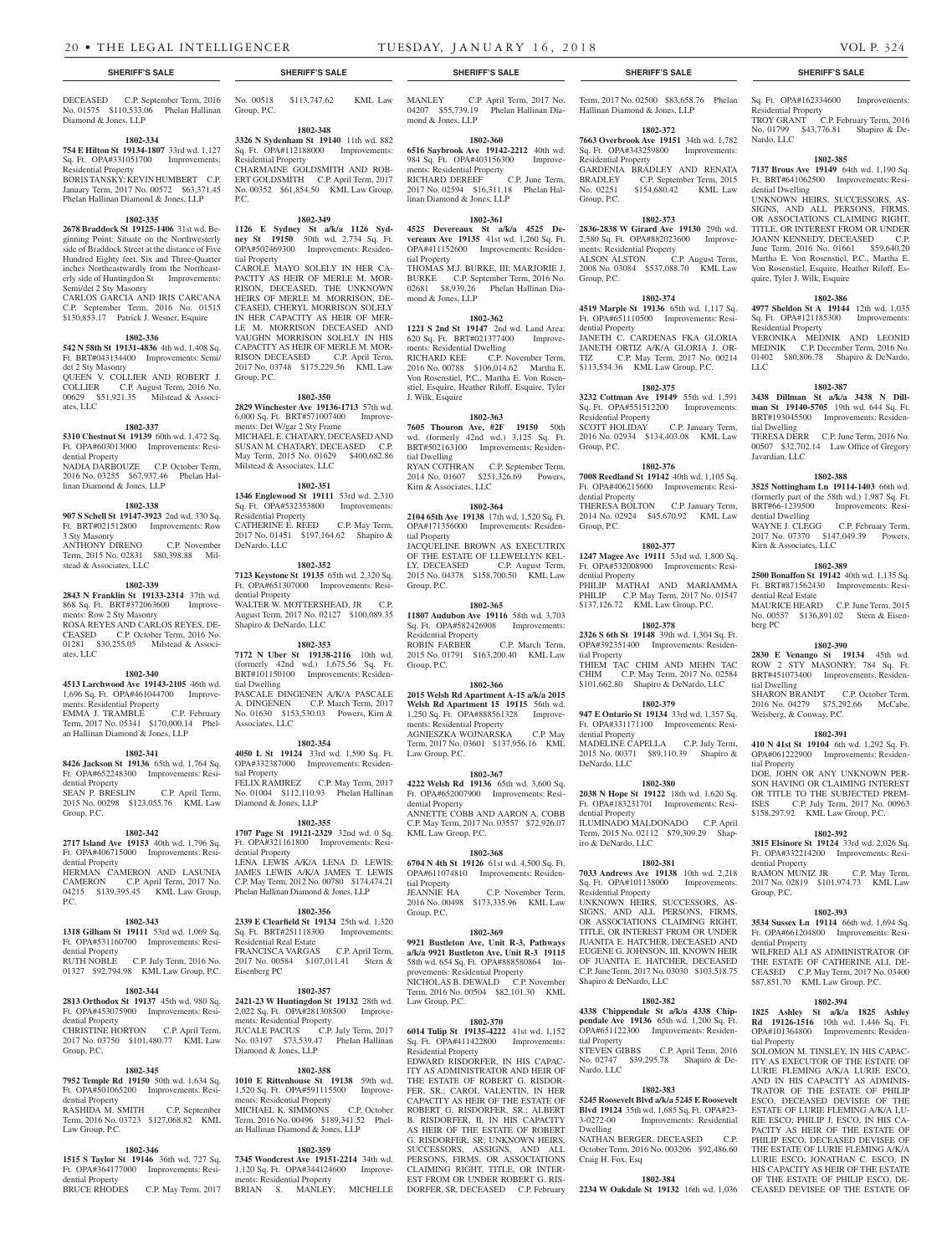No. 01575 \$110,533.06 Phelan Hallinan

**1802-334 754 E Hilton St 19134-1807** 33rd wd. 1,127 Sq. Ft. OPA#331051700 Improvements:

BORIS TANSKY; KEVIN HUMBERT C.P. January Term, 2017 No. 00572 \$63,371.45 Phelan Hallinan Diamond & Jones, LLP **1802-335 2678 Braddock St 19125-1406** 31st wd. Beginning Point: Situate on the Northwesterly side of Braddock Street at the distance of Five Hundred Eighty feet, Six and Three-Quarter inches Northeastwardly from the Northeasterly side of Huntingdon St Improvements:

CARLOS GARCIA AND IRIS CARCANA C.P. September Term, 2016 No. 01515 \$130,853.17 Patrick J. Wesner, Esquire **1802-336 542 N 58th St 19131-4836** 4th wd. 1,408 Sq. Ft. BRT#043134400 Improvements: Semi/

QUEEN V. COLLIER AND ROBERT J. COLLIER C.P. August Term, 2016 No. 00629 \$51,921.35 Milstead & Associ-

**1802-337 5310 Chestnut St 19139** 60th wd. 1,472 Sq. Ft. OPA#603013000 Improvements: Resi-

NADIA DARBOUZE C.P. October Term, 2016 No. 03255 \$67,937.46 Phelan Hal-

**1802-338 907 S Schell St 19147-3923** 2nd wd. 330 Sq. Ft. BRT#021512800 Improvements: Row

ANTHONY DIRENO C.P. November Term, 2015 No. 02831 \$80,398.88 Mil-

**1802-339 2843 N Franklin St 19133-2314** 37th wd. 868 Sq. Ft. BRT#372063600 Improve-

ROSA REYES AND CARLOS REYES, DE-CEASED C.P. October Term, 2016 No. 01281 \$30,255.05 Milstead & Associ-

**1802-340 4513 Larchwood Ave 19143-2105** 46th wd. 1,696 Sq. Ft. OPA#461044700 Improve-

EMMA J. TRAMBLE C.P. February Term, 2017 No. 05341 \$170,000.14 Phelan Hallinan Diamond & Jones, LLP

**1802-341 8426 Jackson St 19136** 65th wd. 1,764 Sq. Ft. OPA#652248300 Improvements: Resi-

SEAN P. BRESLIN C.P. April Term, 2015 No. 00298 \$123,055.76 KML Law

**1802-342 2717 Island Ave 19153** 40th wd. 1,796 Sq. Ft. OPA#406715000 Improvements: Resi-

HERMAN CAMERON AND LASUNIA CAMERON C.P. April Term, 2017 No. 04215 \$139,395.45 KML Law Group,

**1802-343 1318 Gilham St 19111** 53rd wd. 1,069 Sq. Ft. OPA#531160700 Improvements: Resi-

RUTH NOBLE C.P. July Term, 2016 No. 01327 \$92,794.98 KML Law Group, P.C. **1802-344 2813 Orthodox St 19137** 45th wd. 980 Sq. Ft. OPA#453075900 Improvements: Resi-

CHRISTINE HORTON C.P. April Term, 2017 No. 03750 \$101,480.77 KML Law

**1802-345 7952 Temple Rd 19150** 50th wd. 1,634 Sq. Ft. OPA#501065200 Improvements: Resi-

RASHIDA M. SMITH C.P. September Term, 2016 No. 03723 \$127,068.82 KML

**1802-346 1515 S Taylor St 19146** 36th wd. 727 Sq. Ft. OPA#364177000 Improvements: Resi-

C.P. May Term, 2017

Diamond & Jones, LLP

Residential Property

Semi/det 2 Sty Masonry

det 2 Sty Masonry

ates, LLC

dential Property

3 Sty Masonry

ates, LLC

dential Property

dential Property

dential Property

dential Property

dential Property

Law Group, P.C.

dential Property<br>BRUCE RHODES

Group, P.C.

P.C.

Group, P.C.

linan Diamond & Jones, LLP

stead & Associates, LLC

ments: Row 2 Sty Masonry

ments: Residential Property

MANLEY C.P. April Term, 2017 No. 04207 \$55,739.19 Phelan Hallinan Dia-

**1802-360 6516 Saybrook Ave 19142-2212** 40th wd. 984 Sq. Ft. OPA#403156300 Improve-

RICHARD DEREEF C.P. June Term, 2017 No. 02594 \$16,311.18 Phelan Hal-

**1802-361 4525 Devereaux St a/k/a 4525 Devereaux Ave 19135** 41st wd. 1,260 Sq. Ft. OPA#411152600 Improvements: Residen-

THOMAS M.J. BURKE, III; MARJORIE J. BURKE C.P. September Term, 2016 No. 02681 \$8,939.26 Phelan Hallinan Dia-

**1802-362 1221 S 2nd St 19147** 2nd wd. Land Area: 620 Sq. Ft. BRT#021377400 Improve-

RICHARD KEE C.P. November Term, 2016 No. 00788 \$106,014.62 Martha E. Von Rosenstiel, P.C., Martha E. Von Rosenstiel, Esquire, Heather Riloff, Esquire, Tyler

**1802-363 7605 Thouron Ave, #2F 19150** 50th wd. (formerly 42nd wd.) 3,125 Sq. Ft. BRT#502163100 Improvements: Residen-

RYAN COTHRAN C.P. September Term, 2014 No. 01607 \$251,326.69 Powers,

**1802-364 2104 65th Ave 19138** 17th wd. 1,520 Sq. Ft. OPA#171356000 Improvements: Residen-

JACQUELINE BROWN AS EXECUTRIX OF THE ESTATE OF LLEWELLYN KEL-<br>LY, DECEASED C.P. August Term,

2015 No. 04378 \$158,700.50 KML Law

**1802-365 11807 Audubon Ave 19116** 58th wd. 3,703 Sq. Ft. OPA#582426908 Improvements:

2015 No. 01791 \$163,200.40 KML Law

**1802-366 2015 Welsh Rd Apartment A-15 a/k/a 2015 Welsh Rd Apartment 15 19115** 56th wd. 1,250 Sq. Ft. OPA#888561328 Improve-

**1802-367**

**1802-368**

2016 No. 00498 \$173,335.96 KML Law

C.P. November Term,

C.P. August Term,

C.P. March Term,

mond  $&$  Iones, LLP

tial Property

mond & Jones, LLP

J. Wilk, Esquire

tial Dwelling

tial Property

Group, P.C.

Group, P.C.

Residential Property<br>ROBIN FARBER

Kirn & Associates, LLC

ments: Residential Dwelling

ments: Residential Property

linan Diamond & Jones, LLP

### **SHERIFF'S SALE SHERIFF'S SALE SHERIFF'S SALE SHERIFF'S SALE SHERIFF'S SALE**

Sq. Ft. OPA#162334600 Improvements: Residential Property TROY GRANT C.P. February Term, 2016 No. 01799 \$43,776.81 Shapiro & De-

# **1802-385**

Nardo, LLC

**7137 Brous Ave 19149** 64th wd. 1,190 Sq. Ft. BRT#641062500 Improvements: Residential Dwelling

UNKNOWN HEIRS, SUCCESSORS, AS-SIGNS, AND ALL PERSONS, FIRMS, OR ASSOCIATIONS CLAIMING RIGHT, TITLE, OR INTEREST FROM OR UNDER JOANN KENNEDY, DECEASED C.P. June Term, 2016 No. 01661 \$59,640.20 Martha E. Von Rosenstiel, P.C., Martha E. Von Rosenstiel, Esquire, Heather Riloff, Esquire, Tyler J. Wilk, Esquire

# **1802-386**

**4977 Sheldon St A 19144** 12th wd. 1,035 Sq. Ft. OPA#121185300 Improvements: Residential Property VERONIKA MEDNIK AND LEONID MEDNIK C.P. December Term, 2016 No. 01402 \$80,806.78 Shapiro & DeNardo, LLC

# **1802-387**

**3438 Dillman St a/k/a 3438 N Dillman St 19140-5705** 19th wd. 644 Sq. Ft. BRT#193045500 Improvements: Residential Dwelling

TERESA DERR C.P. June Term, 2016 No. 00507 \$32,702.14 Law Office of Gregory Javardian, LLC

### **1802-388**

**3525 Nottingham Ln 19114-1403** 66th wd. (formerly part of the 58th wd.) 1,987 Sq. Ft. BRT#66-1239500 Improvements: Residential Dwelling WAYNE J. CLEGG C.P. February Term, 2017 No. 07370 \$147,049.39 Powers, Kirn & Associates, LLC

# **1802-389**

**2500 Bonaffon St 19142** 40th wd. 1,135 Sq. Ft. BRT#871562430 Improvements: Residential Real Estate MAURICE HEARD C.P. June Term, 2015 No. 00557 \$136,891.02 Stern & Eisenberg PC

# **1802-390**

**2830 E Venango St 19134** 45th wd. ROW 2 STY MASONRY; 784 Sq. Ft. BRT#451073400 Improvements: Residential Dwelling SHARON BRANDT C.P. October Term,

# 2016 No. 04279 \$75,292.66 McCabe, Weisberg, & Conway, P.C.

### **1802-391**

**410 N 41st St 19104** 6th wd. 1,292 Sq. Ft. OPA#061222900 Improvements: Residential Property

DOE, JOHN OR ANY UNKNOWN PER-SON HAVING OR CLAIMING INTEREST OR TITLE TO THE SUBJECTED PREM-ISES C.P. July Term, 2017 No. 00963 \$158,297.92 KML Law Group, P.C.

# **1802-392**

**3815 Elsinore St 19124** 33rd wd. 2,026 Sq. Ft. OPA#332214200 Improvements: Residential Property RAMON MUNIZ JR C.P. May Term,

2017 No. 02819 \$101,974.73 KML Law Group, P.C.

# **1802-393**

**3534 Sussex Ln 19114** 66th wd. 1,694 Sq. Ft. OPA#661204800 Improvements: Residential Property

WILFRED ALI AS ADMINISTRATOR OF THE ESTATE OF CATHERINE ALI, DE-CEASED C.P. May Term, 2017 No. 03400 \$87,851.70 KML Law Group, P.C.

# **1802-394**

**1825 Ashley St a/k/a 1825 Ashley Rd 19126-1516** 10th wd. 1,446 Sq. Ft. OPA#101364800 Improvements: Residential Property

SOLOMON M. TINSLEY, IN HIS CAPAC-ITY AS EXECUTOR OF THE ESTATE OF LURIE FLEMING A/K/A LURIE ESCO, AND IN HIS CAPACITY AS ADMINIS-TRATOR OF THE ESTATE OF PHILIP ESCO, DECEASED DEVISEE OF THE ESTATE OF LURIE FLEMING A/K/A LU-RIE ESCO; PHILIP J. ESCO, IN HIS CA-PACITY AS HEIR OF THE ESTATE OF PHILIP ESCO, DECEASED DEVISEE OF THE ESTATE OF LURIE FLEMING A/K/A LURIE ESCO; JONATHAN C. ESCO, IN HIS CAPACITY AS HEIR OF THE ESTATE OF THE ESTATE OF PHILIP ESCO, DE-CEASED DEVISEE OF THE ESTATE OF

DECEASED C.P. September Term, 2016 No. 00518 \$113,747.62 KML Law Group, P.C.

# **1802-348**

**3326 N Sydenham St 19140** 11th wd. 882 Sq. Ft. OPA#112188000 Improvements: Residential Property CHARMAINE GOLDSMITH AND ROB-ERT GOLDSMITH C.P. April Term, 2017 No. 00352 \$61,854.50 KML Law Group, P.C.

#### **1802-349**

**1126 E Sydney St a/k/a 1126 Sydney St 19150** 50th wd. 2,734 Sq. Ft. OPA#502469300 Improvements: Residential Property

CAROLE MAYO SOLELY IN HER CA-PACITY AS HEIR OF MERLE M. MOR-RISON, DECEASED, THE UNKNOWN HEIRS OF MERLE M. MORRISON, DE-CEASED, CHERYL MORRISON SOLELY IN HER CAPACITY AS HEIR OF MER-LE M. MORRISON DECEASED AND VAUGHN MORRISON SOLELY IN HIS CAPACITY AS HEIR OF MERLE M. MOR-RISON DECEASED C.P. April Term, 2017 No. 03748 \$175,229.56 KML Law Group, P.C.

#### **1802-350**

**2829 Winchester Ave 19136-1713** 57th wd. 6,000 Sq. Ft. BRT#571007400 Improvements: Det W/gar 2 Sty Frame MICHAEL E. CHATARY, DECEASED AND SUSAN M. CHATARY, DECEASED C.P. May Term, 2015 No. 01629 \$400,682.86 Milstead & Associates, LLC

#### **1802-351**

**1346 Englewood St 19111** 53rd wd. 2,310 Sq. Ft. OPA#532353800 Improvements: Residential Property CATHERINE E. REED C.P. May Term, 2017 No. 01451 \$197,164.62 Shapiro & DeNardo, LLC

### **1802-352**

**7123 Keystone St 19135** 65th wd. 2,320 Sq. Ft. OPA#651307000 Improvements: Residential Property WALTER W. MOTTERSHEAD, JR C.P. August Term, 2017 No. 02127 \$100,089.35 Shapiro & DeNardo, LLC

#### **1802-353**

**7172 N Uber St 19138-2116** 10th wd. (formerly 42nd wd.) 1,675.56 Sq. Ft. BRT#101150100 Improvements: Residential Dwelling PASCALE DINGENEN A/K/A PASCALE A. DINGENEN C.P. March Term, 2017 No. 01630 \$153,530.03 Powers, Kirn & Associates, LLC

**4050 L St 19124** 33rd wd. 1,590 Sq. Ft. OPA#332387000 Improvements: Residential Property FELIX RAMIREZ C.P. May Term, 2017 No. 01004 \$112,110.93 Phelan Hallinan Diamond & Jones, LLP

**1707 Page St 19121-2329** 32nd wd. 0 Sq. Ft. OPA#321161800 Improvements: Residential Property LENA LEWIS A/K/A LENA D. LEWIS; JAMES LEWIS A/K/A JAMES T. LEWIS C.P. May Term, 2012 No. 00780 \$174,474.21 Phelan Hallinan Diamond & Jones, LLP

Sq. Ft. BRT#251118300 Improvements: Residential Real Estate FRANCISCA VARGAS C.P. April Term, 2017 No. 00584 \$107,011.41 Stern & Eisenberg PC

# **1802-357**

**2421-23 W Huntingdon St 19132** 28th wd. 2,022 Sq. Ft. OPA#281308500 Improvements: Residential Property<br>JUCALE PACIUS C.P. No. 03197 \$73,539.47 Phelan Hallinan Diamond & Jones, LLP

1,520 Sq. Ft. OPA#591115500 Improvements: Residential Property MICHAEL K. SIMMONS C.P. October Term, 2016 No. 00496 \$189,341.52 Phelan Hallinan Diamond & Jones, LLP

1,120 Sq. Ft. OPA#344124600 Improvements: Residential Property BRIAN S. MANLEY; MICHELLE

**7345 Woodcrest Ave 19151-2214** 34th wd.

**1802-354**

**2339 E Clearfield St 19134** 25th wd. 1,320

C.P. July Term, 2017

ments: Residential Property AGNIESZKA WOJNARSKA C.P. May Term, 2017 No. 03601 \$137,956.16 KML Law Group, P.C. **4222 Welsh Rd 19136** 65th wd. 3,600 Sq. Ft. OPA#652007900 Improvements: Residential Property

**1802-355** ANNETTE COBB AND AARON A. COBB C.P. May Term, 2017 No. 03557 \$72,926.07 KML Law Group, P.C.

**6704 N 4th St 19126** 61st wd. 4,500 Sq. Ft. OPA#611074810 Improvements: Residential Property

#### **1802-356**

### **1802-359**

**1802-358 1010 E Rittenhouse St 19138** 59th wd.

# Group, P.C. **1802-369 9921 Bustleton Ave, Unit R-3, Pathways a/k/a 9921 Bustleton Ave, Unit R-3 19115**

58th wd. 654 Sq. Ft. OPA#888580864 Improvements: Residential Property NICHOLAS B. DEWALD C.P. November Term, 2016 No. 00504 \$82,101.30 KML Law Group, P.C.

#### **1802-370**

**6014 Tulip St 19135-4222** 41st wd. 1,152 Sq. Ft. OPA#411422800 Improvements: Residential Property

EDWARD RISDORFER, IN HIS CAPAC-ITY AS ADMINISTRATOR AND HEIR OF THE ESTATE OF ROBERT G. RISDOR-FER, SR.; CAROL VALENTIN, IN HER CAPACITY AS HEIR OF THE ESTATE OF ROBERT G. RISDORFER, SR.; ALBERT B. RISDORFER, II, IN HIS CAPACITY AS HEIR OF THE ESTATE OF ROBERT G. RISDORFER, SR; UNKNOWN HEIRS, SUCCESSORS, ASSIGNS, AND ALL PERSONS, FIRMS, OR ASSOCIATIONS CLAIMING RIGHT, TITLE, OR INTER-EST FROM OR UNDER ROBERT G. RIS-DORFER, SR, DECEASED C.P. February

Hallinan Diamond & Jones, LLP **1802-372 7663 Overbrook Ave 19151** 34th wd. 1,782

Term, 2017 No. 02500 \$83,658.76 Phelan

GARDENIA BRADLEY AND RENATA BRADLEY C.P. September Term, 2015 No. 02251 \$154,680.42 KML Law

**1802-373 2836-2838 W Girard Ave 19130** 29th wd. 2,580 Sq. Ft. OPA#882023600 Improve-

ALSON ALSTON C.P. August Term, 2008 No. 03084 \$537,088.70 KML Law

**1802-374 4519 Marple St 19136** 65th wd. 1,117 Sq. Ft. OPA#651110500 Improvements: Resi-

JANETH C. CARDENAS FKA GLORIA JANETH ORTIZ A/K/A GLORIA J. OR-TIZ C.P. May Term, 2017 No. 00214 \$113,534.36 KML Law Group, P.C. **1802-375 3232 Cottman Ave 19149** 55th wd. 1,591 Sq. Ft. OPA#551512200 Improvements:

2016 No. 02934 \$134,403.08 KML Law

**1802-376 7008 Reedland St 19142** 40th wd. 1,105 Sq. Ft. OPA#406215600 Improvements: Resi-

THERESA BOLTON C.P. January Term, 2014 No. 02924 \$45,670.92 KML Law

**1802-377 1247 Magee Ave 19111** 53rd wd. 1,800 Sq. Ft. OPA#532008900 Improvements: Resi-

PHILIP MATHAI AND MARIAMMA PHILIP C.P. May Term, 2017 No. 01547 \$137,126.72 KML Law Group, P.C.

**1802-378 2326 S 6th St 19148** 39th wd. 1,304 Sq. Ft. OPA#392351400 Improvements: Residen-

THIEM TAC CHIM AND MEHN TAC CHIM C.P. May Term, 2017 No. 02584 \$101,662.80 Shapiro & DeNardo, LLC **1802-379 947 E Ontario St 19134** 33rd wd. 1,357 Sq. Ft. OPA#331171100 Improvements: Resi-

MADELINE CAPELLA C.P. July Term, 2015 No. 00371 \$89,110.39 Shapiro &

**1802-380 2038 N Hope St 19122** 18th wd. 1,620 Sq. Ft. OPA#183231701 Improvements: Resi-

ILUMINADO MALDONADO C.P. April Term, 2015 No. 02112 \$79,309.29 Shap-

**1802-381 7033 Andrews Ave 19138** 10th wd. 2,218 Sq. Ft. OPA#101138000 Improvements:

UNKNOWN HEIRS, SUCCESSORS, AS-SIGNS, AND ALL PERSONS, FIRMS, OR ASSOCIATIONS CLAIMING RIGHT, TITLE, OR INTEREST FROM OR UNDER JUANITA E. HATCHER, DECEASED AND EUGENE G. JOHNSON, III, KNOWN HEIR OF JUANITA E. HATCHER, DECEASED C.P. June Term, 2017 No. 03030 \$103,518.75

**1802-382 4338 Chippendale St a/k/a 4338 Chippendale Ave 19136** 65th wd. 1,200 Sq. Ft. OPA#651122300 Improvements: Residen-

No. 02747 \$39,295.78 Shapiro & De-

**1802-383 5245 Roosevelt Blvd a/k/a 5245 E Roosevelt Blvd 19124** 35th wd. 1,685 Sq. Ft. OPA#23-

NATHAN BERGER, DECEASED C.P. October Term, 2016 No. 003206 \$92,486.60

**1802-384 2234 W Oakdale St 19132** 16th wd. 1,036

C.P. April Term, 2016

Improvements: Residential

C.P. January Term,

#### Sq. Ft. OPA#343259800 Improvements: Residential Property

ments: Residential Property

Group, P.C.

Group, P.C.

dential Property

Residential Property<br>SCOTT HOLIDAY

Group, P.C.

dential Property

dential Property

tial Property

dential Property

DeNardo, LLC

dential Property

iro & DeNardo, LLC

Residential Property

Shapiro & DeNardo, LLC

tial Property

Nardo, LLC

Dwelling

Craig H. Fox, Esq

Group, P.C.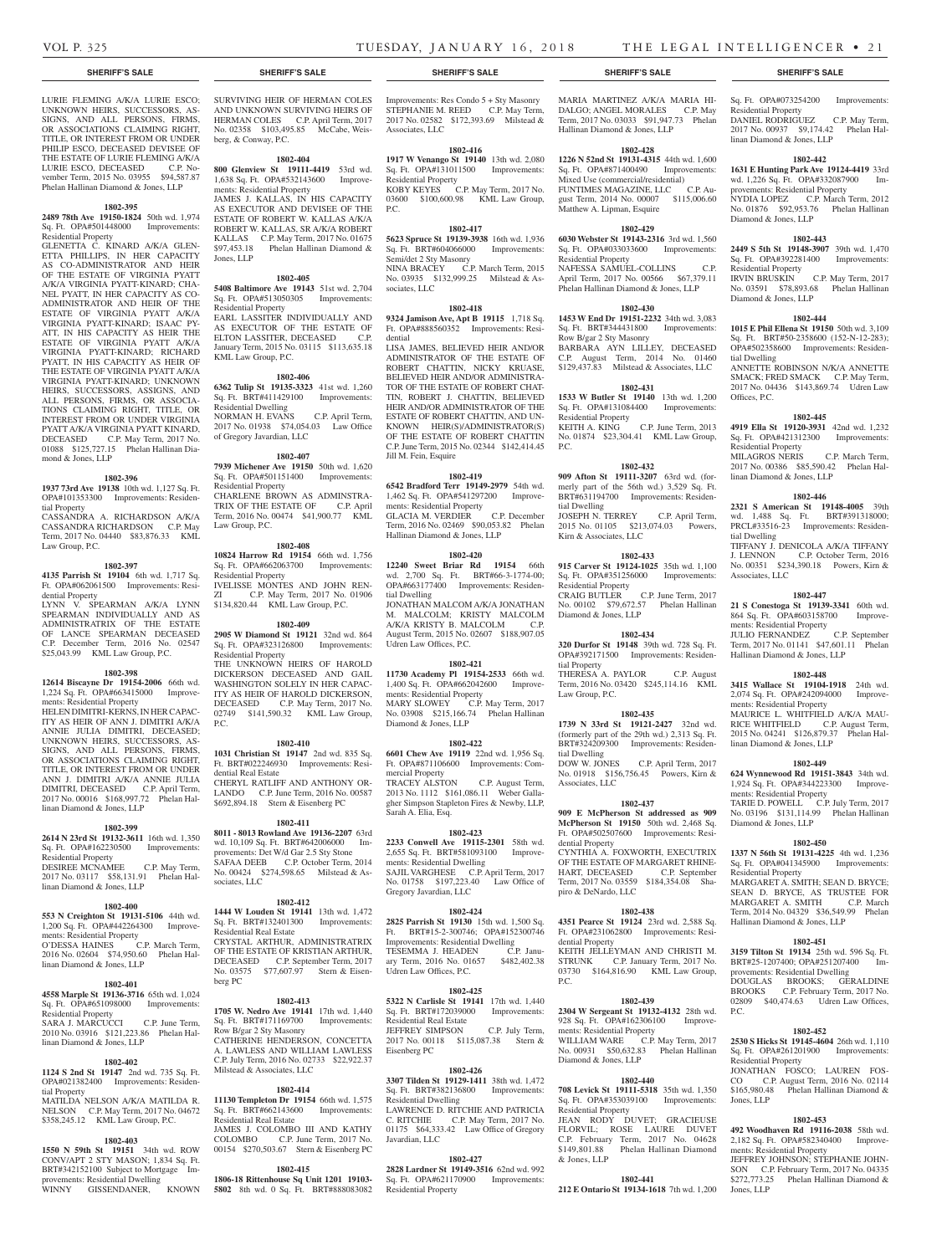Residential Property

linan Diamond & Jones, LLP

Diamond & Jones, LLP

Residential Property

tial Dwelling

Offices, P.C.

tial Dwelling

Associates, LLC

ments: Residential Property

ments: Residential Property

linan Diamond & Jones, LLP

ments: Residential Property

Diamond & Jones, LLP

Residential Property

P.C.

Residential Property

ments: Residential Property

Jones, LLP

Jones, LLP

Hallinan Diamond & Jones, LLP

Residential Property

linan Diamond & Jones, LLP

Diamond & Jones, LLP

Sq. Ft. OPA#073254200 Improvements:

DANIEL RODRIGUEZ C.P. May Term, 2017 No. 00937 \$9,174.42 Phelan Hal-

**1802-442 1631 E Hunting Park Ave 19124-4419** 33rd wd. 1,226 Sq. Ft. OPA#332087900 Improvements: Residential Property NYDIA LOPEZ C.P. March Term, 2012 No. 01876 \$92,953.76 Phelan Hallinan

**1802-443 2449 S 5th St 19148-3907** 39th wd. 1,470 Sq. Ft. OPA#392281400 Improvements:

IRVIN BRUSKIN C.P. May Term, 2017 No. 03591 \$78,893.68 Phelan Hallinan

**1802-444 1015 E Phil Ellena St 19150** 50th wd. 3,109 Sq. Ft. BRT#50-2358600 (152-N-12-283); OPA#502358600 Improvements: Residen-

ANNETTE ROBINSON N/K/A ANNETTE SMACK; FRED SMACK C.P. May Term, 2017 No. 04436 \$143,869.74 Udren Law

**1802-445 4919 Ella St 19120-3931** 42nd wd. 1,232 Sq. Ft. OPA#421312300 Improvements:

MILAGROS NERIS C.P. March Term, 2017 No. 00386 \$85,590.42 Phelan Hal-

**1802-446 2321 S American St 19148-4005** 39th wd. 1,488 Sq. Ft. BRT#391318000; PRCL#33516-23 Improvements: Residen-

TIFFANY J. DENICOLA A/K/A TIFFANY J. LENNON C.P. October Term, 2016 No. 00351 \$234,390.18 Powers, Kirn &

**1802-447 21 S Conestoga St 19139-3341** 60th wd. 864 Sq. Ft. OPA#603158700 Improve-

JULIO FERNANDEZ C.P. September Term, 2017 No. 01141 \$47,601.11 Phelan

**1802-448 3415 Wallace St 19104-1918** 24th wd. 2,074 Sq. Ft. OPA#242094000 Improve-

MAURICE L. WHITFIELD A/K/A MAU-RICE WHITFIELD C.P. August Term, 2015 No. 04241 \$126,879.37 Phelan Hal-

**1802-449 624 Wynnewood Rd 19151-3843** 34th wd. 1,924 Sq. Ft. OPA#344223300 Improve-

TARIE D. POWELL C.P. July Term, 2017 No. 03196 \$131,114.99 Phelan Hallinan

**1802-450 1337 N 56th St 19131-4225** 4th wd. 1,236 Sq. Ft. OPA#041345900 Improvements:

MARGARET A. SMITH; SEAN D. BRYCE; SEAN D. BRYCE, AS TRUSTEE FOR MARGARET A. SMITH C.P. March Term, 2014 No. 04329 \$36,549.99 Phelan

**1802-451 3159 Tilton St 19134** 25th wd. 596 Sq. Ft. BRT#25-1207400; OPA#251207400 Improvements: Residential Dwelling DOUGLAS BROOKS; GERALDINE BROOKS C.P. February Term, 2017 No. 02809 \$40,474.63 Udren Law Offices,

**1802-452 2530 S Hicks St 19145-4604** 26th wd. 1,110 Sq. Ft. OPA#261201900 Improvements:

JONATHAN FOSCO; LAUREN FOS-CO C.P. August Term, 2016 No. 02114 \$165,980.48 Phelan Hallinan Diamond &

**1802-453 492 Woodhaven Rd 19116-2038** 58th wd. 2,182 Sq. Ft. OPA#582340400 Improve-

JEFFREY JOHNSON; STEPHANIE JOHN-SON C.P. February Term, 2017 No. 04335 \$272,773.25 Phelan Hallinan Diamond &

Hallinan Diamond & Jones, LLP

LURIE FLEMING A/K/A LURIE ESCO; UNKNOWN HEIRS, SUCCESSORS, AS-SIGNS, AND ALL PERSONS, FIRMS, OR ASSOCIATIONS CLAIMING RIGHT, TITLE, OR INTEREST FROM OR UNDER PHILIP ESCO, DECEASED DEVISEE OF THE ESTATE OF LURIE FLEMING A/K/A LURIE ESCO, DECEASED C.P. November Term, 2015 No. 03955 \$94,587.87 Phelan Hallinan Diamond & Jones, LLP

# **1802-395**

**2489 78th Ave 19150-1824** 50th wd. 1,974 Sq. Ft. OPA#501448000 Improvements: Residential Property

GLENETTA C. KINARD A/K/A GLEN-ETTA PHILLIPS, IN HER CAPACITY AS CO-ADMINISTRATOR AND HEIR OF THE ESTATE OF VIRGINIA PYATT A/K/A VIRGINIA PYATT-KINARD; CHA-NEL PYATT, IN HER CAPACITY AS CO-ADMINISTRATOR AND HEIR OF THE ESTATE OF VIRGINIA PYATT A/K/A VIRGINIA PYATT-KINARD; ISAAC PY-ATT, IN HIS CAPACITY AS HEIR THE ESTATE OF VIRGINIA PYATT A/K/A VIRGINIA PYATT-KINARD; RICHARD PYATT, IN HIS CAPACITY AS HEIR OF THE ESTATE OF VIRGINIA PYATT A/K/A VIRGINIA PYATT-KINARD; UNKNOWN HEIRS, SUCCESSORS, ASSIGNS, AND ALL PERSONS, FIRMS, OR ASSOCIA-TIONS CLAIMING RIGHT, TITLE, OR INTEREST FROM OR UNDER VIRGINIA PYATT A/K/A VIRGINIA PYATT KINARD, DECEASED C.P. May Term, 2017 No. 01088 \$125,727.15 Phelan Hallinan Diamond & Jones, LLP

#### **1802-396**

**1937 73rd Ave 19138** 10th wd. 1,127 Sq. Ft. OPA#101353300 Improvements: Residential Property

CASSANDRA A. RICHARDSON A/K/A CASSANDRA RICHARDSON C.P. May Term, 2017 No. 04440 \$83,876.33 KML Law Group, P.C.

#### **1802-397**

#### **4135 Parrish St 19104** 6th wd. 1,717 Sq. Ft. OPA#062061500 Improvements: Residential Property

LYNN V. SPEARMAN A/K/A LYNN SPEARMAN INDIVIDUALLY AND AS ADMINISTRATRIX OF THE ESTATE OF LANCE SPEARMAN DECEASED C.P. December Term, 2016 No. 02547 \$25,043.99 KML Law Group, P.C.

#### **1802-398**

**12614 Biscayne Dr 19154-2006** 66th wd. 1,224 Sq. Ft. OPA#663415000 Improvements: Residential Property HELEN DIMITRI-KERNS, IN HER CAPAC-ITY AS HEIR OF ANN J. DIMITRI A/K/A ANNIE JULIA DIMITRI, DECEASED; UNKNOWN HEIRS, SUCCESSORS, AS-SIGNS, AND ALL PERSONS, FIRMS, OR ASSOCIATIONS CLAIMING RIGHT, TITLE, OR INTEREST FROM OR UNDER ANN J. DIMITRI A/K/A ANNIE JULIA DIMITRI, DECEASED C.P. April Term, 2017 No. 00016 \$168,997.72 Phelan Hallinan Diamond & Jones, LLP

#### **1802-399**

#### **2614 N 23rd St 19132-3611** 16th wd. 1,350 Sq. Ft. OPA#162230500 Improvements:

Residential Property DESIREE MCNAMEE C.P. May Term, 2017 No. 03117 \$58,131.91 Phelan Hallinan Diamond & Jones, LLP

# **1802-400**

**553 N Creighton St 19131-5106** 44th wd. 1,200 Sq. Ft. OPA#442264300 Improvements: Residential Property O'DESSA HAINES C.P. March Term, 2016 No. 02604 \$74,950.60 Phelan Hallinan Diamond & Jones, LLP

#### **1802-401**

**4558 Marple St 19136-3716** 65th wd. 1,024 Sq. Ft. OPA#651098000 Improvements: Residential Property SARA J. MARCUCCI C.P. June Term,

2010 No. 03916 \$121,223.86 Phelan Hallinan Diamond & Jones, LLP

# **1802-402**

**1124 S 2nd St 19147** 2nd wd. 735 Sq. Ft. OPA#021382400 Improvements: Residential Property MATILDA NELSON A/K/A MATILDA R.

NELSON C.P. May Term, 2017 No. 04672 \$358,245.12 KML Law Group, P.C.

# **1802-403**

**1550 N 59th St 19151** 34th wd. ROW CONV/APT 2 STY MASON; 1,834 Sq. Ft. BRT#342152100 Subject to Mortgage Improvements: Residential Dwelling WINNY GISSENDANER, KNOWN SURVIVING HEIR OF HERMAN COLES AND UNKNOWN SURVIVING HEIRS OF HERMAN COLES C.P. April Term, 2017 No. 02358 \$103,495.85 McCabe, Weisberg, & Conway, P.C.

### **1802-404**

**800 Glenview St 19111-4419** 53rd wd. 1,638 Sq. Ft. OPA#532143600 Improvements: Residential Property JAMES J. KALLAS, IN HIS CAPACITY AS EXECUTOR AND DEVISEE OF THE ESTATE OF ROBERT W. KALLAS A/K/A

ROBERT W. KALLAS, SR A/K/A ROBERT KALLAS C.P. May Term, 2017 No. 01675 \$97,453.18 Phelan Hallinan Diamond & Jones, LLP

# **1802-405**

**5408 Baltimore Ave 19143** 51st wd. 2,704 Sq. Ft. OPA#513050305 Improvements: Residential Property EARL LASSITER INDIVIDUALLY AND AS EXECUTOR OF THE ESTATE OF ELTON LASSITER, DECEASED C.P. January Term, 2015 No. 03115 \$113,635.18 KML Law Group, P.C.

#### **1802-406**

**6362 Tulip St 19135-3323** 41st wd. 1,260 Sq. Ft. BRT#411429100 Improvements: Residential Dwelling NORMAN H. EVANS C.P. April Term, 2017 No. 01938 \$74,054.03 Law Office

**1802-407 7939 Michener Ave 19150** 50th wd. 1,620 Sq. Ft. OPA#501151400 Improvements: Residential Property CHARLENE BROWN AS ADMINSTRA-TRIX OF THE ESTATE OF C.P. April Term, 2016 No. 00474 \$41,900.77 KML Law Group, P.C.

#### **1802-408**

of Gregory Javardian, LLC

**10824 Harrow Rd 19154** 66th wd. 1,756 Sq. Ft. OPA#662063700 Improvements: Residential Property IVELISSE MONTES AND JOHN REN-

ZI C.P. May Term, 2017 No. 01906 \$134,820.44 KML Law Group, P.C.

# **1802-409**

**2905 W Diamond St 19121** 32nd wd. 864 Sq. Ft. OPA#323126800 Improvements: Residential Property THE UNKNOWN HEIRS OF HAROLD DICKERSON DECEASED AND GAIL WASHINGTON SOLELY IN HER CAPAC-ITY AS HEIR OF HAROLD DICKERSON, DECEASED C.P. May Term, 2017 No. 02749 \$141,590.32 KML Law Group, P.C.

#### **1802-410**

**1031 Christian St 19147** 2nd wd. 835 Sq. Ft. BRT#022246930 Improvements: Residential Real Estate CHERYL RATLIFF AND ANTHONY OR-LANDO C.P. June Term, 2016 No. 00587 \$692,894.18 Stern & Eisenberg PC

#### **1802-411**

**8011 - 8013 Rowland Ave 19136-2207** 63rd wd. 10,109 Sq. Ft. BRT#642006000 Improvements: Det W/d Gar 2.5 Sty Stone SAFAA DEEB C.P. October Term, 2014 No. 00424 \$274,598.65 Milstead & Associates, LLC

#### **1802-412**

**1444 W Louden St 19141** 13th wd. 1,472 Sq. Ft. BRT#132401300 Improvements: Residential Real Estate CRYSTAL ARTHUR, ADMINISTRATRIX OF THE ESTATE OF KRISTIAN ARTHUR, DECEASED C.P. September Term, 2017 No. 03575 \$77,607.97 Stern & Eisenberg PC

#### **1802-413**

**1705 W. Nedro Ave 19141** 17th wd. 1,440 Sq. Ft. BRT#171169700 Improvements: Row B/gar 2 Sty Masonry CATHERINE HENDERSON, CONCETTA A. LAWLESS AND WILLIAM LAWLESS C.P. July Term, 2016 No. 02733 \$22,922.37 Milstead & Associates, LLC

#### **1802-414**

**11130 Templeton Dr 19154** 66th wd. 1,575 Sq. Ft. BRT#662143600 Improvements: Residential Real Estate JAMES J. COLOMBO III AND KATHY COLOMBO C.P. June Term, 2017 No. 00154 \$270,503.67 Stern & Eisenberg PC

#### **1802-415**

**1806-18 Rittenhouse Sq Unit 1201 19103- 5802** 8th wd. 0 Sq. Ft. BRT#888083082 Improvements: Res Condo 5 + Sty Masonry STEPHANIE M. REED C.P. May Term, 2017 No. 02582 \$172,393.69 Milstead &

### **1802-416**

Associates, LLC

**1917 W Venango St 19140** 13th wd. 2,080 Sq. Ft. OPA#131011500 Improvements: Residential Property KOBY KEYES C.P. May Term, 2017 No. 03600 \$100,600.98 KML Law Group, P.C.

## **1802-417**

**5623 Spruce St 19139-3938** 16th wd. 1,936 Sq. Ft. BRT#604066000 Improvements: Semi/det 2 Sty Masonry NINA BRACEY C.P. March Term, 2015 No. 03935 \$132,999.25 Milstead & Associates, LLC

#### **1802-418**

**9324 Jamison Ave, Apt B 19115** 1,718 Sq. Ft. OPA#888560352 Improvements: Residential

LISA JAMES, BELIEVED HEIR AND/OR ADMINISTRATOR OF THE ESTATE OF ROBERT CHATTIN, NICKY KRUASE, BELIEVED HEIR AND/OR ADMINISTRA-TOR OF THE ESTATE OF ROBERT CHAT-TIN, ROBERT J. CHATTIN, BELIEVED HEIR AND/OR ADMINISTRATOR OF THE ESTATE OF ROBERT CHATTIN, AND UN-KNOWN HEIR(S)/ADMINISTRATOR(S) OF THE ESTATE OF ROBERT CHATTIN C.P. June Term, 2015 No. 02344 \$142,414.45 Jill M. Fein, Esquire

#### **1802-419**

**6542 Bradford Terr 19149-2979** 54th wd. 1,462 Sq. Ft. OPA#541297200 Improvements: Residential Property GLACIA M. VERDIER C.P. December Term, 2016 No. 02469 \$90,053.82 Phelan Hallinan Diamond & Jones, LLP

#### **1802-420**

**12240 Sweet Briar Rd 19154** 66th wd. 2,700 Sq. Ft. BRT#66-3-1774-00; OPA#663177400 Improvements: Residential Dwelling

JONATHAN MALCOM A/K/A JONATHAN M. MALCOLM; KRISTY MALCOLM A/K/A KRISTY B. MALCOLM C.P. August Term, 2015 No. 02607 \$188,907.05 Udren Law Offices, P.C.

#### **1802-421**

**11730 Academy Pl 19154-2533** 66th wd. 1,400 Sq. Ft. OPA#662042600 Improvements: Residential Property MARY SLOWEY C.P. May Term, 2017 No. 03908 \$215,166.74 Phelan Hallinan Diamond & Jones, LLP

#### **1802-422**

**6601 Chew Ave 19119** 22nd wd. 1,956 Sq. Ft. OPA#871106600 Improvements: Commercial Property TRACEY ALSTON C.P. August Term, TRACEY ALSTON C.P. August Term,<br>2013 No. 1112 \$161,086.11 Weber Gallagher Simpson Stapleton Fires & Newby, LLP, Sarah A. Elia, Esq.

# **1802-423**

**2233 Conwell Ave 19115-2301** 58th wd. 2,655 Sq. Ft. BRT#581093100 Improvements: Residential Dwelling SAJIL VARGHESE C.P. April Term, 2017 No. 01758 \$197,223.40 Law Office of Gregory Javardian, LLC

### **1802-424**

**2825 Parrish St 19130** 15th wd. 1,500 Sq. Ft. BRT#15-2-300746; OPA#152300746 Improvements: Residential Dwelling<br>TESEMMA J. HEADEN C.P. Janu-TESEMMA J. HEADEN C.P. January Term, 2016 No. 01657 \$482,402.38 Udren Law Offices, P.C.

# **1802-425**

**5322 N Carlisle St 19141** 17th wd. 1,440 Sq. Ft. BRT#172039000 Improvements: Residential Real Estate JEFFREY SIMPSON C.P. July Term, 2017 No. 00118 \$115,087.38 Stern & Eisenberg PC

# **1802-426**

**3307 Tilden St 19129-1411** 38th wd. 1,472 Sq. Ft. BRT#382136800 Improvements: Residential Dwelling LAWRENCE D. RITCHIE AND PATRICIA C. RITCHIE C.P. May Term, 2017 No. 01175 \$64,333.42 Law Office of Gregory Javardian, LLC

#### **1802-427**

**2828 Lardner St 19149-3516** 62nd wd. 992 Sq. Ft. OPA#621170900 Improvements: Residential Property

#### **SHERIFF'S SALE SHERIFF'S SALE SHERIFF'S SALE SHERIFF'S SALE SHERIFF'S SALE**

MARIA MARTINEZ A/K/A MARIA HI-DALGO; ANGEL MORALES C.P. May Term, 2017 No. 03033 \$91,947.73 Phelan Hallinan Diamond & Jones, LLP

# **1802-428**

**1226 N 52nd St 19131-4315** 44th wd. 1,600 Sq. Ft. OPA#871400490 Improvements: Mixed Use (commercial/residential)<br>FUNTIMES MAGAZINE, LLC C.P. Au-FUNTIMES MAGAZINE, LLC gust Term, 2014 No. 00007 \$115,006.60 Matthew A. Lipman, Esquire

#### **1802-429**

**6030 Webster St 19143-2316** 3rd wd. 1,560 Sq. Ft. OPA#033033600 Improvements: Residential Property NAFESSA SAMUEL-COLLINS C.P. April Term, 2017 No. 00566 \$67,379.11

# Phelan Hallinan Diamond & Jones, LLP **1802-430**

**1453 W End Dr 19151-2232** 34th wd. 3,083 Sq. Ft. BRT#344431800 Improvements: Row B/gar 2 Sty Masonry BARBARA AYN LILLEY, DECEASED C.P. August Term, 2014 No. 01460 \$129,437.83 Milstead & Associates, LLC

### **1802-431**

**1533 W Butler St 19140** 13th wd. 1,200 Sq. Ft. OPA#131084400 Improvements: Residential Property<br>KEITH A. KING C.P. June Term, 2013

No. 01874 \$23,304.41 KML Law Group, P.C.

# **1802-432**

**909 Afton St 19111-3207** 63rd wd. (formerly part of the 56th wd.) 3,529 Sq. Ft. BRT#631194700 Improvements: Residential Dwelling JOSEPH N. TERREY C.P. April Term, 2015 No. 01105 \$213,074.03 Powers, Kirn & Associates, LLC

#### **1802-433**

**915 Carver St 19124-1025** 35th wd. 1,100 Sq. Ft. OPA#351256000 Improvements: Residential Property CRAIG BUTLER C.P. June Term, 2017 No. 00102 \$79,672.57 Phelan Hallinan Diamond & Jones, LLP

### **1802-434**

Law Group, P.C.

tial Dwelling

Associates, LLC

dential Property

dential Property

P.C.

piro & DeNardo, LLC

**320 Durfor St 19148** 39th wd. 728 Sq. Ft. OPA#392171500 Improvements: Residential Property THERESA A. PAYLOR C.P. August Term, 2016 No. 03420 \$245,114.16 KML

**1802-435 1739 N 33rd St 19121-2427** 32nd wd. (formerly part of the 29th wd.) 2,313 Sq. Ft. BRT#324209300 Improvements: Residen-

DOW W. JONES C.P. April Term, 2017 No. 01918 \$156,756.45 Powers, Kirn &

**1802-437 909 E McPherson St addressed as 909 McPherson St 19150** 50th wd. 2,468 Sq. Ft. OPA#502507600 Improvements: Resi

CYNTHIA A. FOXWORTH, EXECUTRIX OF THE ESTATE OF MARGARET RHINE-HART, DECEASED C.P. September Term, 2017 No. 03559 \$184,354.08 Sha-

**1802-438 4351 Pearce St 19124** 23rd wd. 2,588 Sq. Ft. OPA#231062800 Improvements: Resi-

KEITH JELLEYMAN AND CHRISTI M. STRUNK C.P. January Term, 2017 No. 03730 \$164,816.90 KML Law Group,

**1802-439 2304 W Sergeant St 19132-4132** 28th wd. 928 Sq. Ft. OPA#162306100 Improve-

WILLIAM WARE C.P. May Term, 2017 No. 00931 \$50,632.83 Phelan Hallinan

**1802-440 708 Levick St 19111-5318** 35th wd. 1,350 Sq. Ft. OPA#353039100 Improvements:

JEAN RODY DUVET; GRACIEUSE FLORVIL; ROSE LAURE DUVET C.P. February Term, 2017 No. 04628 \$149,801.88 Phelan Hallinan Diamond

**1802-441 212 E Ontario St 19134-1618** 7th wd. 1,200

ments: Residential Property

Diamond & Jones, LLP

Residential Property

& Jones, LLP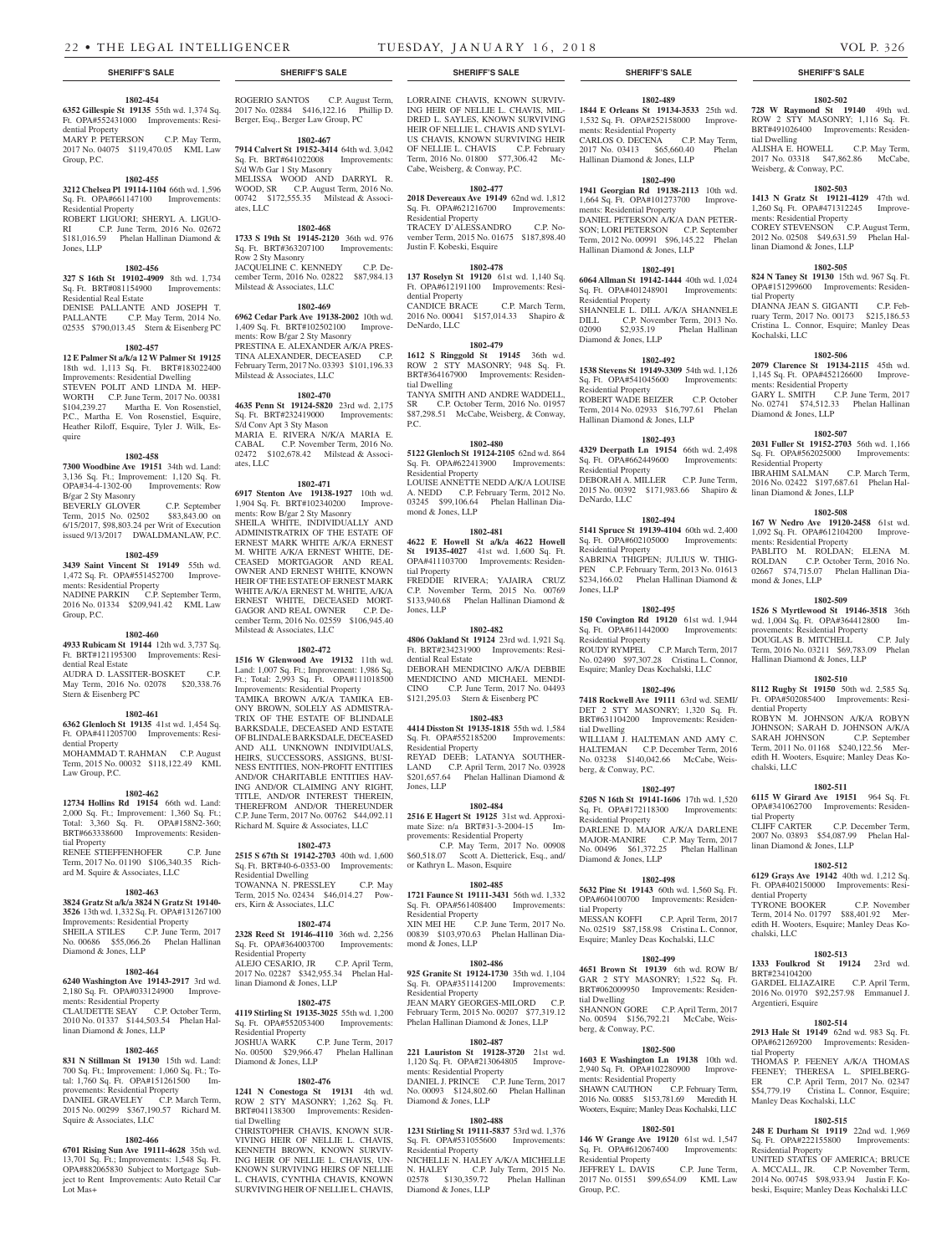tial Dwelling

tial Property

Kochalski, LLC

ments: Residential Property

Diamond & Jones, LLP

Residential Property

linan Diamond & Jones, LLP

ments: Residential Property

Hallinan Diamond & Jones, LLP

mond & Jones, LLP

dential Property

chalski, LLC

tial Property

dential Property<br>TYRONE BOOKER

chalski, LLC

BRT#234104200

Argentieri, Esquire

tial Property

linan Diamond & Jones, LLP

Weisberg, & Conway, P.C.

ments: Residential Property

linan Diamond & Jones, LLP

**1802-502 728 W Raymond St 19140** 49th wd. ROW 2 STY MASONRY; 1,116 Sq. Ft. BRT#491026400 Improvements: Residen-

ALISHA E. HOWELL C.P. May Term, 2017 No. 03318 \$47,862.86 McCabe,

**1802-503 1413 N Gratz St 19121-4129** 47th wd. 1,260 Sq. Ft. OPA#471312245 Improve-

COREY STEVENSON C.P. August Term, 2012 No. 02508 \$49,631.59 Phelan Hal-

**1802-505 824 N Taney St 19130** 15th wd. 967 Sq. Ft. OPA#151299600 Improvements: Residen-

DIANNA JEAN S. GIGANTI C.P. February Term, 2017 No. 00173 \$215,186.53 Cristina L. Connor, Esquire; Manley Deas

**1802-506 2079 Clarence St 19134-2115** 45th wd. 1,145 Sq. Ft. OPA#452126600 Improve-

GARY L. SMITH C.P. June Term, 2017 No. 02741 \$74,512.33 Phelan Hallinan

**1802-507 2031 Fuller St 19152-2703** 56th wd. 1,166 Sq. Ft. OPA#562025000 Improvements:

IBRAHIM SALMAN C.P. March Term, 2016 No. 02422 \$197,687.61 Phelan Hal-

**1802-508 167 W Nedro Ave 19120-2458** 61st wd. 1,092 Sq. Ft. OPA#612104200 Improve-

PABLITO M. ROLDAN; ELENA M. ROLDAN C.P. October Term, 2016 No. 02667 \$74,715.07 Phelan Hallinan Dia-

**1802-509 1526 S Myrtlewood St 19146-3518** 36th wd. 1,004 Sq. Ft. OPA#364412800 provements: Residential Property DOUGLAS B. MITCHELL C.P. July Term, 2016 No. 03211 \$69,783.09 Phelan

**1802-510 8112 Rugby St 19150** 50th wd. 2,585 Sq. Ft. OPA#502085400 Improvements: Resi-

ROBYN M. JOHNSON A/K/A ROBYN JOHNSON; SARAH D. JOHNSON A/K/A SARAH JOHNSON C.P. September Term, 2011 No. 01168 \$240,122.56 Meredith H. Wooters, Esquire; Manley Deas Ko-

**1802-511 6115 W Girard Ave 19151** 964 Sq. Ft. OPA#341062700 Improvements: Residen-

2007 No. 03893 \$54,087.99 Phelan Hal-

**1802-512 6129 Grays Ave 19142** 40th wd. 1,212 Sq. Ft. OPA#402150000 Improvements: Resi-

Term, 2014 No. 01797 \$88,401.92 Meredith H. Wooters, Esquire; Manley Deas Ko-

**1802-513 1333 Foulkrod St 19124** 23rd wd.

GARDEL ELIAZAIRE C.P. April Term, 2016 No. 01970 \$92,257.98 Emmanuel J.

**1802-514 2913 Hale St 19149** 62nd wd. 983 Sq. Ft. OPA#621269200 Improvements: Residen-

THOMAS P. FEENEY A/K/A THOMAS FEENEY; THERESA L. SPIELBERG-<br>ER C.P. April Term. 2017 No. 02347 ER C.P. April Term, 2017 No. 02347 \$54,779.19 Cristina L. Connor, Esquire;

**1802-515 248 E Durham St 19119** 22nd wd. 1,969 Sq. Ft. OPA#222155800 Improvements:

UNITED STATES OF AMERICA; BRUCE A. MCCALL, JR. C.P. November Term, 2014 No. 00745 \$98,933.94 Justin F. Kobeski, Esquire; Manley Deas Kochalski LLC

Manley Deas Kochalski, LLC

Residential Property

C.P. December Term,

C.P. November

# **SHERIFF'S SALE SHERIFF'S SALE SHERIFF'S SALE SHERIFF'S SALE SHERIFF'S SALE**

### **1802-454 6352 Gillespie St 19135** 55th wd. 1,374 Sq.

Ft. OPA#552431000 Improvements: Residential Property MARY P. PETERSON C.P. May Term,

2017 No. 04075 \$119,470.05 KML Law Group, P.C.

#### **1802-455**

**3212 Chelsea Pl 19114-1104** 66th wd. 1,596 Sq. Ft. OPA#661147100 Improvements: Residential Property

ROBERT LIGUORI; SHERYL A. LIGUO-RI C.P. June Term, 2016 No. 02672 \$181,016.59 Phelan Hallinan Diamond & Jones, LLP

#### **1802-456**

**327 S 16th St 19102-4909** 8th wd. 1,734 Sq. Ft. BRT#081154900 Improvements: Residential Real Estate

#### DENISE PALLANTE AND JOSEPH T. PALLANTE C.P. May Term, 2014 No. 02535 \$790,013.45 Stern & Eisenberg PC

#### **1802-457**

**12 E Palmer St a/k/a 12 W Palmer St 19125**  18th wd. 1,113 Sq. Ft. BRT#183022400 Improvements: Residential Dwelling STEVEN POLIT AND LINDA M. HEP-WORTH C.P. June Term, 2017 No. 00381 \$104,239.27 Martha E. Von Rosenstiel, P.C., Martha E. Von Rosenstiel, Esquire, Heather Riloff, Esquire, Tyler J. Wilk, Esquire

#### **1802-458**

**7300 Woodbine Ave 19151** 34th wd. Land: 3,136 Sq. Ft.; Improvement: 1,120 Sq. Ft. OPA#34-4-1302-00 Improvements: Row B/gar 2 Sty Masonry

#### BEVERLY GLOVER C.P. September<br>Term, 2015 No. 02502 \$83,843.00 on Term, 2015 No. 02502 6/15/2017, \$98,803.24 per Writ of Execution issued 9/13/2017 DWALDMANLAW, P.C.

#### **1802-459**

**3439 Saint Vincent St 19149** 55th wd. 1,472 Sq. Ft. OPA#551452700 Improvements: Residential Property NADINE PARKIN C.P. September Term, 2016 No. 01334 \$209,941.42 KML Law Group, P.C.

#### **1802-460**

**4933 Rubicam St 19144** 12th wd. 3,737 Sq. Ft. BRT#121195300 Improvements: Residential Real Estate AUDRA D. LASSITER-BOSKET C.P. May Term, 2016 No. 02078 \$20,338.76

# Stern & Eisenberg PC

**1802-461 6362 Glenloch St 19135** 41st wd. 1,454 Sq. Ft. OPA#411205700 Improvements: Residential Property

MOHAMMAD T. RAHMAN C.P. August Term, 2015 No. 00032 \$118,122.49 KML Law Group, P.C.

#### **1802-462**

**12734 Hollins Rd 19154** 66th wd. Land: 2,000 Sq. Ft.; Improvement: 1,360 Sq. Ft.; Total: 3,360 Sq. Ft. OPA#158N2-360; BRT#663338600 Improvements: Residential Property

RENEE STIEFFENHOFER C.P. June Term, 2017 No. 01190 \$106,340.35 Richard M. Squire & Associates, LLC

#### **1802-463**

**3824 Gratz St a/k/a 3824 N Gratz St 19140- 3526** 13th wd. 1,332 Sq. Ft. OPA#131267100 Improvements: Residential Property SHEILA STILES C.P. June Term, 2017 No. 00686 \$55,066.26 Phelan Hallinan Diamond & Jones, LLP

#### **1802-464**

**6240 Washington Ave 19143-2917** 3rd wd. 2,180 Sq. Ft. OPA#033124900 Improvements: Residential Property<br>CLAUDETTE SEAY C. C.P. October Term, 2010 No. 01337 \$144,503.54 Phelan Hallinan Diamond & Jones, LLP

#### **1802-465**

**831 N Stillman St 19130** 15th wd. Land: 700 Sq. Ft.; Improvement: 1,060 Sq. Ft.; Total:  $1,760$  Sq. Ft. OPA#151261500 provements: Residential Property  $\Omega$ DANIEL GRAVELEY  $\hat{C}$  P March Term 2015 No. 00299 \$367,190.57 Richard M. Squire & Associates, LLC

# **1802-466**

**6701 Rising Sun Ave 19111-4628** 35th wd. 13,701 Sq. Ft.; Improvements: 1,548 Sq. Ft. OPA#882065830 Subject to Mortgage Subject to Rent Improvements: Auto Retail Car Lot Mas+

ROGERIO SANTOS C.P. August Term, 2017 No. 02884 \$416,122.16 Phillip D. Berger, Esq., Berger Law Group, PC

**1802-467 7914 Calvert St 19152-3414** 64th wd. 3,042 Sq. Ft. BRT#641022008 Improvements: S/d W/b Gar 1 Sty Masonry

MELISSA WOOD AND DARRYL R. WOOD, SR C.P. August Term, 2016 No. 00742 \$172,555.35 Milstead & Associates, LLC

#### **1802-468**

**1733 S 19th St 19145-2120** 36th wd. 976 Sq. Ft. BRT#363207100 Improvements: Row 2 Sty Masonry JACQUELINE C. KENNEDY C.P. December Term, 2016 No. 02822 \$87,984.13 Milstead & Associates, LLC

**1802-469 6962 Cedar Park Ave 19138-2002** 10th wd. 1,409 Sq. Ft. BRT#102502100 Improvements: Row B/gar 2 Sty Masonry PRESTINA E. ALEXANDER A/K/A PRES-TINA ALEXANDER, DECEASED C.P. February Term, 2017 No. 03393 \$101,196.33 Milstead & Associates, LLC

### **1802-470**

**4635 Penn St 19124-5820** 23rd wd. 2,175 Sq. Ft. BRT#232419000 Improvements: S/d Conv Apt 3 Sty Mason MARIA E. RIVERA N/K/A MARIA E.<br>CABAL C.P. November Term, 2016 No. C.P. November Term, 2016 No. 02472 \$102,678.42 Milstead & Associates, LLC

#### **1802-471**

**6917 Stenton Ave 19138-1927** 10th wd. 1,904 Sq. Ft. BRT#102340200 Improvements: Row B/gar 2 Sty Masonry SHEILA WHITE, INDIVIDUALLY AND ADMINISTRATRIX OF THE ESTATE OF ERNEST MARK WHITE A/K/A ERNEST M. WHITE A/K/A ERNEST WHITE, DE-CEASED MORTGAGOR AND REAL OWNER AND ERNEST WHITE, KNOWN HEIR OF THE ESTATE OF ERNEST MARK WHITE A/K/A ERNEST M. WHITE, A/K/A ERNEST WHITE, DECEASED MORT-GAGOR AND REAL OWNER C.P. December Term, 2016 No. 02559 \$106,945.40 Milstead & Associates, LLC

**1802-472 1516 W Glenwood Ave 19132** 11th wd. Land: 1,007 Sq. Ft.; Improvement: 1,986 Sq. Ft.; Total: 2,993 Sq. Ft. OPA#111018500 Improvements: Residential Property

TAMIKA BROWN A/K/A TAMIKA EB-ONY BROWN, SOLELY AS ADMISTRA-TRIX OF THE ESTATE OF BLINDALE BARKSDALE, DECEASED AND ESTATE OF BLINDALE BARKSDALE, DECEASED AND ALL UNKNOWN INDIVIDUALS, HEIRS, SUCCESSORS, ASSIGNS, BUSI-NESS ENTITIES, NON-PROFIT ENTITIES AND/OR CHARITABLE ENTITIES HAV-ING AND/OR CLAIMING ANY RIGHT, TITLE, AND/OR INTEREST THEREIN, THEREFROM AND/OR THEREUNDER C.P. June Term, 2017 No. 00762 \$44,092.11 Richard M. Squire & Associates, LLC

#### **1802-473**

**2515 S 67th St 19142-2703** 40th wd. 1,600 Sq. Ft. BRT#40-6-0353-00 Improvements: Residential Dwelling TOWANNA N. PRESSLEY C.P. May Term, 2015 No. 02434 \$46,014.27 Powers, Kirn & Associates, LLC

### **1802-474**

**2328 Reed St 19146-4110** 36th wd. 2,256 Sq. Ft. OPA#364003700 Improvements: Residential Property ALEJO CESARIO, JR C.P. April Term, 2017 No. 02287 \$342,955.34 Phelan Hallinan Diamond & Jones, LLP

#### **1802-475**

**4119 Stirling St 19135-3025** 55th wd. 1,200 Sq. Ft. OPA#552053400 Improvements: Residential Property JOSHUA WARK C.P. June Term, 2017 No. 00500 \$29,966.47 Phelan Hallinan Diamond & Jones, LLP

#### **1802-476**

**1241 N Conestoga St 19131** 4th wd. ROW 2 STY MASONRY; 1,262 Sq. Ft. BRT#041138300 Improvements: Residential Dwelling

CHRISTOPHER CHAVIS, KNOWN SUR-VIVING HEIR OF NELLIE L. CHAVIS, KENNETH BROWN, KNOWN SURVIV-ING HEIR OF NELLIE L. CHAVIS, UN-KNOWN SURVIVING HEIRS OF NELLIE L. CHAVIS, CYNTHIA CHAVIS, KNOWN SURVIVING HEIR OF NELLIE L. CHAVIS,

LORRAINE CHAVIS, KNOWN SURVIV-ING HEIR OF NELLIE L. CHAVIS, MIL-DRED L. SAYLES, KNOWN SURVIVING HEIR OF NELLIE L. CHAVIS AND SYLVI-US CHAVIS, KNOWN SURVIVING HEIR OF NELLIE L. CHAVIS C.P. February

Term, 2016 No. 01800 \$77,306.42 Mc-Cabe, Weisberg, & Conway, P.C. **1802-477 2018 Devereaux Ave 19149** 62nd wd. 1,812 Sq. Ft. OPA#621216700 Improvements:

Residential Property TRACEY D'ALESSANDRO C.P. November Term, 2015 No. 01675 \$187,898.40 Justin F. Kobeski, Esquire

#### **1802-478**

**137 Roselyn St 19120** 61st wd. 1,140 Sq. Ft. OPA#612191100 Improvements: Residential Property CANDICE BRACE C.P. March Term, 2016 No. 00041 \$157,014.33 Shapiro & DeNardo, LLC

#### **1802-479**

**1612 S Ringgold St 19145** 36th wd. ROW 2 STY MASONRY; 948 Sq. Ft. BRT#364167900 Improvements: Residential Dwelling TANYA SMITH AND ANDRE WADDELL,<br>SR C.P. October Term, 2016 No. 01957

C.P. October Term, 2016 No. 01957 \$87,298.51 McCabe, Weisberg, & Conway, P.C.

**1802-480 5122 Glenloch St 19124-2105** 62nd wd. 864 Sq. Ft. OPA#622413900 Improvements: Residential Property LOUISE ANNETTE NEDD A/K/A LOUISE A. NEDD C.P. February Term, 2012 No. 03245 \$99,106.64 Phelan Hallinan Diamond & Jones, LLP

#### **1802-481**

**4622 E Howell St a/k/a 4622 Howell St 19135-4027** 41st wd. 1,600 Sq. Ft. OPA#411103700 Improvements: Residential Property FREDDIE RIVERA; YAJAIRA CRUZ C.P. November Term, 2015 No. 00769<br>\$133.940.68 Phelan Hallinan Diamond & Phelan Hallinan Diamond & Jones, LLP

#### **1802-482**

**4806 Oakland St 19124** 23rd wd. 1,921 Sq. Ft. BRT#234231900 Improvements: Residential Real Estate DEBORAH MENDICINO A/K/A DEBBIE MENDICINO AND MICHAEL MENDI-CINO C.P. June Term, 2017 No. 04493 \$121,295.03 Stern & Eisenberg PC

### **1802-483**

**4414 Disston St 19135-1818** 55th wd. 1,584 Sq. Ft. OPA#552185200 Improvements: Residential Property REYAD DEEB; LATANYA SOUTHER-LAND C.P. April Term, 2017 No. 03928 \$201,657.64 Phelan Hallinan Diamond & Jones, LLP

### **1802-484**

**2516 E Hagert St 19125** 31st wd. Approximate Size: n/a BRT#31-3-2004-15 Improvements: Residential Property C.P. May Term, 2017 No. 00908 \$60,518.07 Scott A. Dietterick, Esq., and/ or Kathryn L. Mason, Esquire

# **1802-485**

**1721 Faunce St 19111-3431** 56th wd. 1,332 Sq. Ft. OPA#561408400 Improvements: Residential Property XIN MEI HE C.P. June Term, 2017 No. 00839 \$103,970.63 Phelan Hallinan Diamond & Jones, LLP

#### **1802-486**

**925 Granite St 19124-1730** 35th wd. 1,104 Sq. Ft. OPA#351141200 Improvements: Residential Property JEAN MARY GEORGES-MILORD CP February Term, 2015 No. 00207 \$77,319.12 Phelan Hallinan Diamond & Jones, LLP

# **1802-487**

**221 Lauriston St 19128-3720** 21st wd. 1,120 Sq. Ft. OPA#213064805 Improvements: Residential Property DANIEL J. PRINCE C.P. June Term, 2017 No. 00093 \$124,802.60 Phelan Hallinan Diamond & Jones, LLP

### **1802-488**

**1231 Stirling St 19111-5837** 53rd wd. 1,376 Sq. Ft. OPA#531055600 Improvements: Residential Property NICHELLE N. HALEY A/K/A MICHELLE N. HALEY C.P. July Term, 2015 No. 02578 \$130,359.72 Phelan Hallinan Diamond & Jones, LLP

# **1802-489**

**1844 E Orleans St 19134-3533** 25th wd. 1,532 Sq. Ft. OPA#252158000 Improvements: Residential Property CARLOS O. DECENA C.P. May Term, 2017 No. 03413 \$65,660.40 Phelan Hallinan Diamond & Jones, LLP

# **1802-490**

**1941 Georgian Rd 19138-2113** 10th wd. 1,664 Sq. Ft. OPA#101273700 Improvements: Residential Property DANIEL PETERSON A/K/A DAN PETER-SON; LORI PETERSON C.P. September Term, 2012 No. 00991 \$96,145.22 Phelan Hallinan Diamond & Jones, LLP

#### **1802-491**

**6064 Allman St 19142-1444** 40th wd. 1,024 Sq. Ft. OPA#401248901 Improvements: Residential Property SHANNELE L. DILL A/K/A SHANNELE DILL C.P. November Term, 2013 No. 02090 \$2,935.19 Phelan Hallinan Diamond & Jones, LLP

#### **1802-492**

**1538 Stevens St 19149-3309** 54th wd. 1,126 Sq. Ft. OPA#541045600 Improvements: Residential Property ROBERT WADE BEIZER C.P. October Term, 2014 No. 02933 \$16,797.61 Phelan Hallinan Diamond & Jones, LLP

#### **1802-493**

**4329 Deerpath Ln 19154** 66th wd. 2,498 Sq. Ft. OPA#662449600 Improvements: Residential Property DEBORAH A. MILLER C.P. June Term, 2015 No. 00392 \$171,983.66 Shapiro & DeNardo, LLC

# **1802-494**

**5141 Spruce St 19139-4104** 60th wd. 2,400 Sq. Ft. OPA#602105000 Improvements: Residential Property SABRINA THIGPEN; JULIUS W. THIG-PEN C.P. February Term, 2013 No. 01613

\$234,166.02 Phelan Hallinan Diamond & Jones, LLP **1802-495**

# **150 Covington Rd 19120** 61st wd. 1,944

Sq. Ft. OPA#611442000 Improvements: Residential Property ROUDY RYMPEL C.P. March Term, 2017 No. 02490 \$97,307.28 Cristina L. Connor, Esquire; Manley Deas Kochalski, LLC

# **1802-496**

berg, & Conway, P.C.

Residential Property

Diamond & Jones, LLP

tial Property

tial Dwelling

berg, & Conway, P.C.

ments: Residential Property

Residential Property

Group, P.C.

**7418 Rockwell Ave 19111** 63rd wd. SEMI/ DET 2 STY MASONRY; 1,320 Sq. Ft. BRT#631104200 Improvements: Residential Dwelling WILLIAM J. HALTEMAN AND AMY C. HALTEMAN C.P. December Term, 2016 No. 03238 \$140,042.66 McCabe, Weis-

**1802-497 5205 N 16th St 19141-1606** 17th wd. 1,520 Sq. Ft. OPA#172118300 Improvements:

DARLENE D. MAJOR A/K/A DARLENE MAJOR-MANIRE C.P. May Term, 2017 No. 00496 \$61,372.25 Phelan Hallinan

**1802-498 5632 Pine St 19143** 60th wd. 1,560 Sq. Ft. OPA#604100700 Improvements: Residen-

No. 02519 \$87,158.98 Cristina L. Connor, Esquire; Manley Deas Kochalski, LLC

**1802-499 4651 Brown St 19139** 6th wd. ROW B/ GAR 2 STY MASONRY; 1,522 Sq. Ft. BRT#062009950 Improvements: Residen-

SHANNON GORE C.P. April Term, 2017 No. 00594 \$156,792.21 McCabe, Weis-

**1802-500 1603 E Washington Ln 19138** 10th wd. 2,940 Sq. Ft. OPA#102280900 Improve-

SHAWN CAUTHON C.P. February Term, 2016 No. 00885 \$153,781.69 Meredith H. Wooters, Esquire; Manley Deas Kochalski, LLC **1802-501 146 W Grange Ave 19120** 61st wd. 1,547 Sq. Ft. OPA#612067400 Improvements:

JEFFREY L. DAVIS C.P. June Term, 2017 No. 01551 \$99,654.09 KML Law

C.P. April Term, 2017